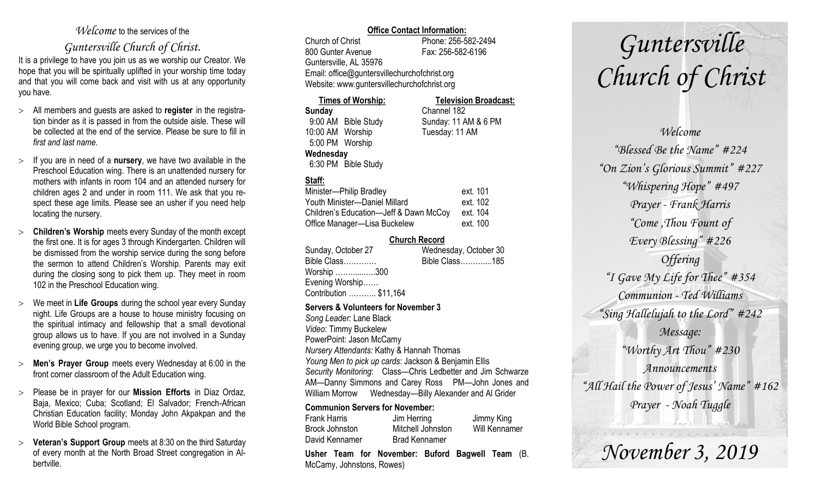## *Welcome* to the services of the

## *Guntersville Church of Christ*.

It is a privilege to have you join us as we worship our Creator. We hope that you will be spiritually uplifted in your worship time today and that you will come back and visit with us at any opportunity you have.

- All members and guests are asked to **register** in the registration binder as it is passed in from the outside aisle. These will be collected at the end of the service. Please be sure to fill in *first and last name*.
- $\geq$  If you are in need of a **nursery**, we have two available in the Preschool Education wing. There is an unattended nursery for mothers with infants in room 104 and an attended nursery for children ages 2 and under in room 111. We ask that you respect these age limits. Please see an usher if you need help locating the nursery.
- **Children's Worship** meets every Sunday of the month except the first one. It is for ages 3 through Kindergarten. Children will be dismissed from the worship service during the song before the sermon to attend Children's Worship. Parents may exit during the closing song to pick them up. They meet in room 102 in the Preschool Education wing.
- We meet in **Life Groups** during the school year every Sunday night. Life Groups are a house to house ministry focusing on the spiritual intimacy and fellowship that a small devotional group allows us to have. If you are not involved in a Sunday evening group, we urge you to become involved.
- **Men's Prayer Group** meets every Wednesday at 6:00 in the front corner classroom of the Adult Education wing.
- Please be in prayer for our **Mission Efforts** in Diaz Ordaz, Baja, Mexico; Cuba; Scotland; El Salvador; French-African Christian Education facility; Monday John Akpakpan and the World Bible School program.
- **Veteran's Support Group** meets at 8:30 on the third Saturday of every month at the North Broad Street congregation in Albertville.

#### **Office Contact Information:**

Church of Christ Phone: 256-582-2494 800 Gunter Avenue Fax: 256-582-6196 Guntersville, AL 35976 Email: office@guntersvillechurchofchrist.org Website: www.guntersvillechurchofchrist.org

### **Times of Worship: Television Broadcast:**

**Sunday** Channel 182 9:00 AM Bible Study Sunday: 11 AM & 6 PM 10:00 AM Worship Tuesday: 11 AM 5:00 PM Worship **Wednesday** 6:30 PM Bible Study

## **Staff:**

| Minister-Philip Bradley                | ext. 101 |
|----------------------------------------|----------|
| Youth Minister-Daniel Millard          | ext. 102 |
| Children's Education-Jeff & Dawn McCoy | ext. 104 |
| Office Manager-Lisa Buckelew           | ext. 100 |

#### **Church Record**

| Sunday, October 27     | Wednesday, October 30 |
|------------------------|-----------------------|
| Bible Class            | Bible Class185        |
| Worship 300            |                       |
| Evening Worship        |                       |
| Contribution  \$11,164 |                       |
|                        |                       |

#### **Servers & Volunteers for November 3**

*Song Leader:* Lane Black *Video*: Timmy Buckelew PowerPoint: Jason McCamy *Nursery Attendants:* Kathy & Hannah Thomas *Young Men to pick up cards*: Jackson & Benjamin Ellis *Security Monitoring*: Class—Chris Ledbetter and Jim Schwarze AM—Danny Simmons and Carey Ross PM—John Jones and William Morrow Wednesday—Billy Alexander and Al Grider

#### **Communion Servers for November:**

| <b>Frank Harris</b> | Jim Herring          | Jimmy King           |
|---------------------|----------------------|----------------------|
| Brock Johnston      | Mitchell Johnston    | <b>Will Kennamer</b> |
| David Kennamer      | <b>Brad Kennamer</b> |                      |
|                     |                      | $\cdot$              |

**Usher Team for November: Buford Bagwell Team** (B. McCamy, Johnstons, Rowes)

# *Guntersville Church of Christ*

# *Welcome "Blessed Be the Name" #224 "On Zion's Glorious Summit" #227 "Whispering Hope" #497 Prayer - Frank Harris "Come ,Thou Fount of Every Blessing" #226 Offering "I Gave My Life for Thee" #354 Communion - Ted Williams "Sing Hallelujah to the Lord" #242 Message: "Worthy Art Thou" #230 Announcements "All Hail the Power of Jesus' Name" #162 Prayer - Noah Tuggle*

*November 3, 2019*